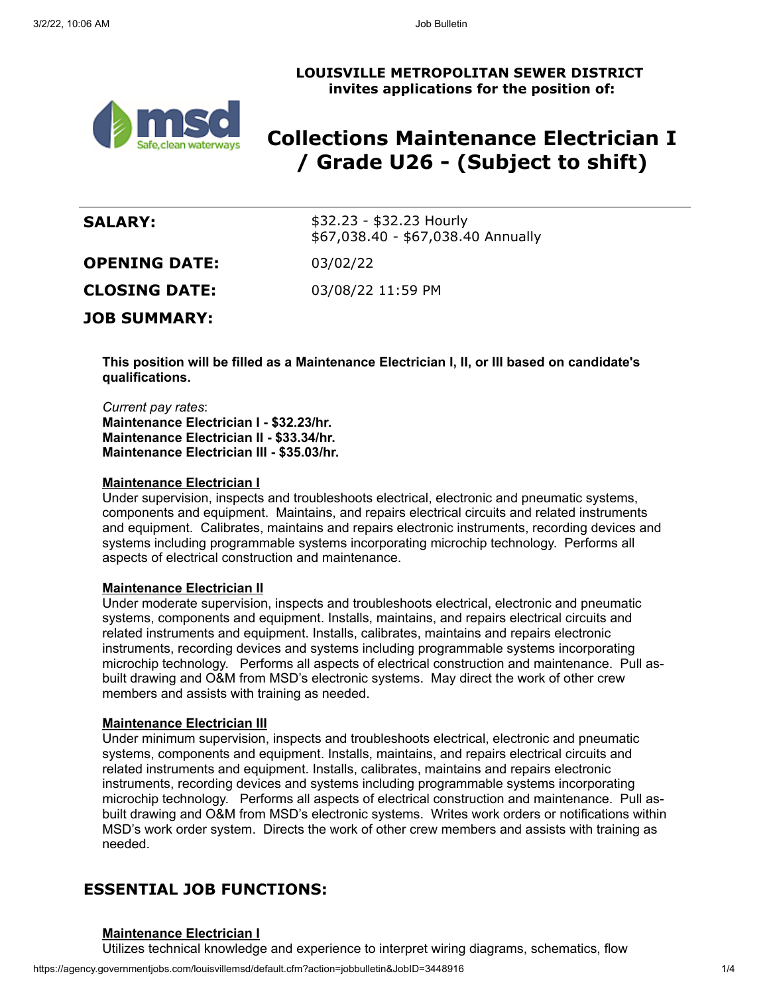## **LOUISVILLE METROPOLITAN SEWER DISTRICT invites applications for the position of:**



# **Collections Maintenance Electrician I / Grade U26 - (Subject to shift)**

| \$32.23 - \$32.23 Hourly<br>\$67,038.40 - \$67,038.40 Annually |
|----------------------------------------------------------------|
| 03/02/22                                                       |
| 03/08/22 11:59 PM                                              |
|                                                                |
|                                                                |

**This position will be filled as a Maintenance Electrician I, II, or III based on candidate's qualifications.**

*Current pay rates*: **Maintenance Electrician I - \$32.23/hr. Maintenance Electrician II - \$33.34/hr. Maintenance Electrician III - \$35.03/hr.**

## **Maintenance Electrician I**

Under supervision, inspects and troubleshoots electrical, electronic and pneumatic systems, components and equipment. Maintains, and repairs electrical circuits and related instruments and equipment. Calibrates, maintains and repairs electronic instruments, recording devices and systems including programmable systems incorporating microchip technology. Performs all aspects of electrical construction and maintenance.

## **Maintenance Electrician II**

Under moderate supervision, inspects and troubleshoots electrical, electronic and pneumatic systems, components and equipment. Installs, maintains, and repairs electrical circuits and related instruments and equipment. Installs, calibrates, maintains and repairs electronic instruments, recording devices and systems including programmable systems incorporating microchip technology. Performs all aspects of electrical construction and maintenance. Pull asbuilt drawing and O&M from MSD's electronic systems. May direct the work of other crew members and assists with training as needed.

## **Maintenance Electrician III**

Under minimum supervision, inspects and troubleshoots electrical, electronic and pneumatic systems, components and equipment. Installs, maintains, and repairs electrical circuits and related instruments and equipment. Installs, calibrates, maintains and repairs electronic instruments, recording devices and systems including programmable systems incorporating microchip technology. Performs all aspects of electrical construction and maintenance. Pull asbuilt drawing and O&M from MSD's electronic systems. Writes work orders or notifications within MSD's work order system. Directs the work of other crew members and assists with training as needed.

## **ESSENTIAL JOB FUNCTIONS:**

#### **Maintenance Electrician I**

Utilizes technical knowledge and experience to interpret wiring diagrams, schematics, flow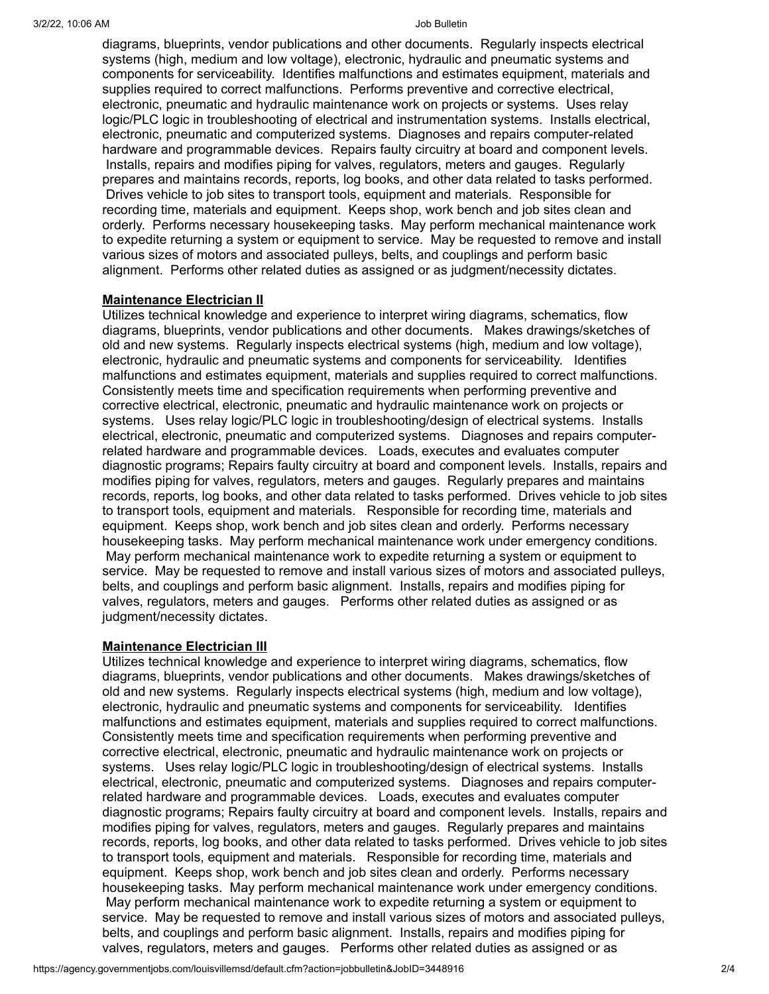diagrams, blueprints, vendor publications and other documents. Regularly inspects electrical systems (high, medium and low voltage), electronic, hydraulic and pneumatic systems and components for serviceability. Identifies malfunctions and estimates equipment, materials and supplies required to correct malfunctions. Performs preventive and corrective electrical, electronic, pneumatic and hydraulic maintenance work on projects or systems. Uses relay logic/PLC logic in troubleshooting of electrical and instrumentation systems. Installs electrical, electronic, pneumatic and computerized systems. Diagnoses and repairs computer-related hardware and programmable devices. Repairs faulty circuitry at board and component levels. Installs, repairs and modifies piping for valves, regulators, meters and gauges. Regularly prepares and maintains records, reports, log books, and other data related to tasks performed. Drives vehicle to job sites to transport tools, equipment and materials. Responsible for recording time, materials and equipment. Keeps shop, work bench and job sites clean and orderly. Performs necessary housekeeping tasks. May perform mechanical maintenance work to expedite returning a system or equipment to service. May be requested to remove and install various sizes of motors and associated pulleys, belts, and couplings and perform basic alignment. Performs other related duties as assigned or as judgment/necessity dictates.

## **Maintenance Electrician II**

Utilizes technical knowledge and experience to interpret wiring diagrams, schematics, flow diagrams, blueprints, vendor publications and other documents. Makes drawings/sketches of old and new systems. Regularly inspects electrical systems (high, medium and low voltage), electronic, hydraulic and pneumatic systems and components for serviceability. Identifies malfunctions and estimates equipment, materials and supplies required to correct malfunctions. Consistently meets time and specification requirements when performing preventive and corrective electrical, electronic, pneumatic and hydraulic maintenance work on projects or systems. Uses relay logic/PLC logic in troubleshooting/design of electrical systems. Installs electrical, electronic, pneumatic and computerized systems. Diagnoses and repairs computerrelated hardware and programmable devices. Loads, executes and evaluates computer diagnostic programs; Repairs faulty circuitry at board and component levels. Installs, repairs and modifies piping for valves, regulators, meters and gauges. Regularly prepares and maintains records, reports, log books, and other data related to tasks performed. Drives vehicle to job sites to transport tools, equipment and materials. Responsible for recording time, materials and equipment. Keeps shop, work bench and job sites clean and orderly. Performs necessary housekeeping tasks. May perform mechanical maintenance work under emergency conditions. May perform mechanical maintenance work to expedite returning a system or equipment to service. May be requested to remove and install various sizes of motors and associated pulleys, belts, and couplings and perform basic alignment. Installs, repairs and modifies piping for valves, regulators, meters and gauges. Performs other related duties as assigned or as judgment/necessity dictates.

#### **Maintenance Electrician III**

Utilizes technical knowledge and experience to interpret wiring diagrams, schematics, flow diagrams, blueprints, vendor publications and other documents. Makes drawings/sketches of old and new systems. Regularly inspects electrical systems (high, medium and low voltage), electronic, hydraulic and pneumatic systems and components for serviceability. Identifies malfunctions and estimates equipment, materials and supplies required to correct malfunctions. Consistently meets time and specification requirements when performing preventive and corrective electrical, electronic, pneumatic and hydraulic maintenance work on projects or systems. Uses relay logic/PLC logic in troubleshooting/design of electrical systems. Installs electrical, electronic, pneumatic and computerized systems. Diagnoses and repairs computerrelated hardware and programmable devices. Loads, executes and evaluates computer diagnostic programs; Repairs faulty circuitry at board and component levels. Installs, repairs and modifies piping for valves, regulators, meters and gauges. Regularly prepares and maintains records, reports, log books, and other data related to tasks performed. Drives vehicle to job sites to transport tools, equipment and materials. Responsible for recording time, materials and equipment. Keeps shop, work bench and job sites clean and orderly. Performs necessary housekeeping tasks. May perform mechanical maintenance work under emergency conditions. May perform mechanical maintenance work to expedite returning a system or equipment to service. May be requested to remove and install various sizes of motors and associated pulleys, belts, and couplings and perform basic alignment. Installs, repairs and modifies piping for valves, regulators, meters and gauges. Performs other related duties as assigned or as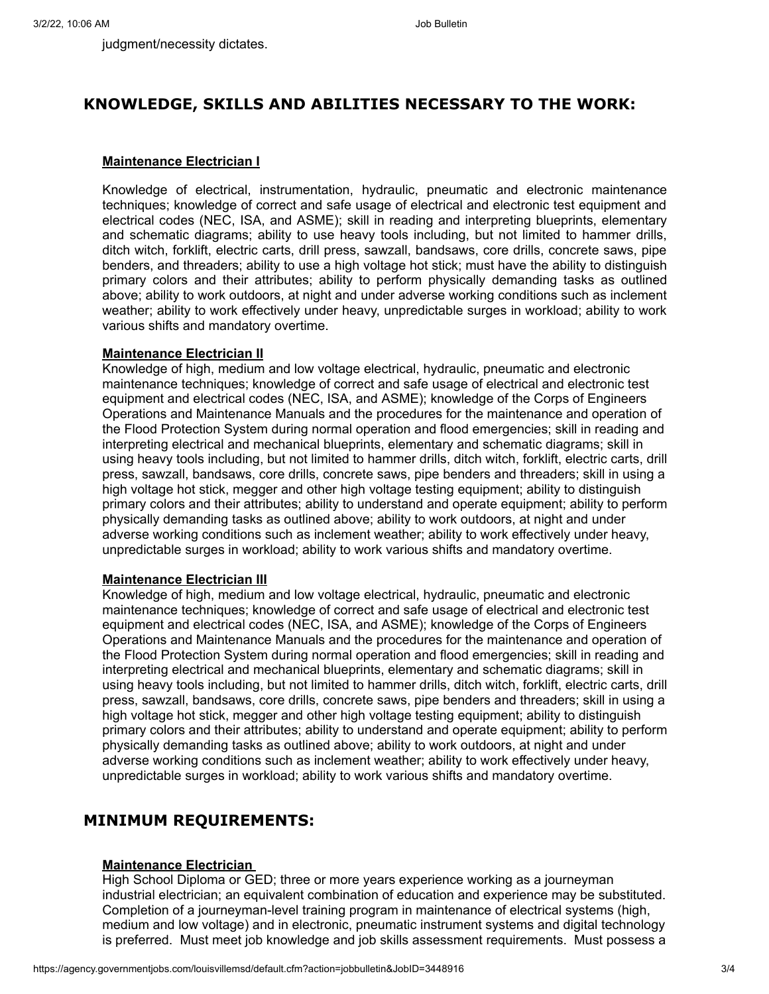judgment/necessity dictates.

## **KNOWLEDGE, SKILLS AND ABILITIES NECESSARY TO THE WORK:**

## **Maintenance Electrician I**

Knowledge of electrical, instrumentation, hydraulic, pneumatic and electronic maintenance techniques; knowledge of correct and safe usage of electrical and electronic test equipment and electrical codes (NEC, ISA, and ASME); skill in reading and interpreting blueprints, elementary and schematic diagrams; ability to use heavy tools including, but not limited to hammer drills, ditch witch, forklift, electric carts, drill press, sawzall, bandsaws, core drills, concrete saws, pipe benders, and threaders; ability to use a high voltage hot stick; must have the ability to distinguish primary colors and their attributes; ability to perform physically demanding tasks as outlined above; ability to work outdoors, at night and under adverse working conditions such as inclement weather; ability to work effectively under heavy, unpredictable surges in workload; ability to work various shifts and mandatory overtime.

## **Maintenance Electrician II**

Knowledge of high, medium and low voltage electrical, hydraulic, pneumatic and electronic maintenance techniques; knowledge of correct and safe usage of electrical and electronic test equipment and electrical codes (NEC, ISA, and ASME); knowledge of the Corps of Engineers Operations and Maintenance Manuals and the procedures for the maintenance and operation of the Flood Protection System during normal operation and flood emergencies; skill in reading and interpreting electrical and mechanical blueprints, elementary and schematic diagrams; skill in using heavy tools including, but not limited to hammer drills, ditch witch, forklift, electric carts, drill press, sawzall, bandsaws, core drills, concrete saws, pipe benders and threaders; skill in using a high voltage hot stick, megger and other high voltage testing equipment; ability to distinguish primary colors and their attributes; ability to understand and operate equipment; ability to perform physically demanding tasks as outlined above; ability to work outdoors, at night and under adverse working conditions such as inclement weather; ability to work effectively under heavy, unpredictable surges in workload; ability to work various shifts and mandatory overtime.

## **Maintenance Electrician III**

Knowledge of high, medium and low voltage electrical, hydraulic, pneumatic and electronic maintenance techniques; knowledge of correct and safe usage of electrical and electronic test equipment and electrical codes (NEC, ISA, and ASME); knowledge of the Corps of Engineers Operations and Maintenance Manuals and the procedures for the maintenance and operation of the Flood Protection System during normal operation and flood emergencies; skill in reading and interpreting electrical and mechanical blueprints, elementary and schematic diagrams; skill in using heavy tools including, but not limited to hammer drills, ditch witch, forklift, electric carts, drill press, sawzall, bandsaws, core drills, concrete saws, pipe benders and threaders; skill in using a high voltage hot stick, megger and other high voltage testing equipment; ability to distinguish primary colors and their attributes; ability to understand and operate equipment; ability to perform physically demanding tasks as outlined above; ability to work outdoors, at night and under adverse working conditions such as inclement weather; ability to work effectively under heavy, unpredictable surges in workload; ability to work various shifts and mandatory overtime.

## **MINIMUM REQUIREMENTS:**

## **Maintenance Electrician**

High School Diploma or GED; three or more years experience working as a journeyman industrial electrician; an equivalent combination of education and experience may be substituted. Completion of a journeyman-level training program in maintenance of electrical systems (high, medium and low voltage) and in electronic, pneumatic instrument systems and digital technology is preferred. Must meet job knowledge and job skills assessment requirements. Must possess a